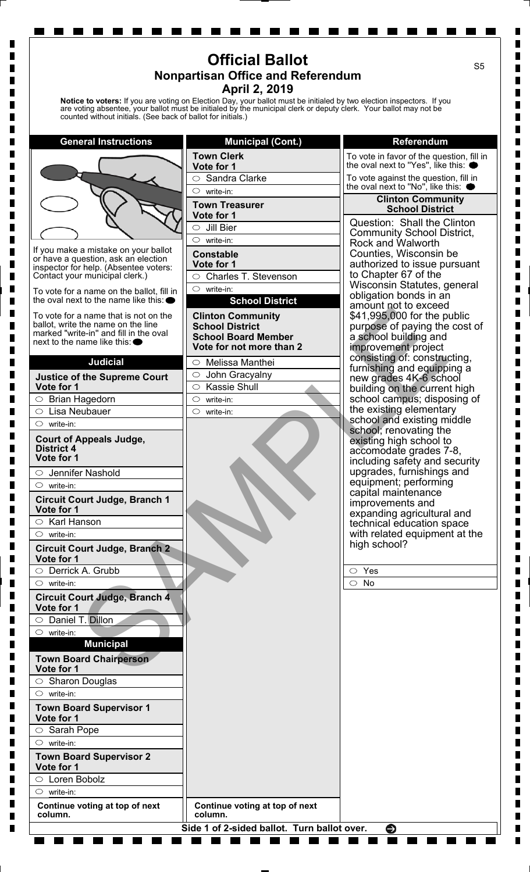## **Official Ballot Nonpartisan Office and Referendum April 2, 2019**

**Notice to voters:** If you are voting on Election Day, your ballot must be initialed by two election inspectors. If you are voting absentee, your ballot must be initialed by the municipal clerk or deputy clerk. Your ballot may not be counted without initials. (See back of ballot for initials.)

> **Town Clerk Vote for 1**

 $\circ$  write-in:

 $\circ$  write-in:

 $\circ$  Sandra Clarke

**Town Treasurer Vote for 1**  $\circ$  Jill Bier  $\circ$  write-in: **Constable Vote for 1**

 $\circ$  Charles T. Stevenson

**School District**

**Municipal (Cont.)**



Г

П

 $\blacksquare$ 

П

П

П

Г

L.

П

Ш  $\blacksquare$ 

П

П

П П

 $\blacksquare$ 

П

Ш

Ш

П

П

ш

П

ш

If you make a mistake on your ballot or have a question, ask an election inspector for help. (Absentee voters: Contact your municipal clerk.)

To vote for a name on the ballot, fill in the oval next to the name like this:

| To vote for a name that is not on the<br>ballot, write the name on the line<br>marked "write-in" and fill in the oval<br>next to the name like this: $\bullet$ | <b>Clinton Community</b><br><b>School District</b><br><b>School Board Member</b><br>Vote for not more than 2 | diliuulii Ilui lu exceed<br>\$41,995,000 for the p<br>purpose of paying the<br>a school building and<br>improvement project |
|----------------------------------------------------------------------------------------------------------------------------------------------------------------|--------------------------------------------------------------------------------------------------------------|-----------------------------------------------------------------------------------------------------------------------------|
| <b>Judicial</b>                                                                                                                                                | Melissa Manthei<br>$\circ$                                                                                   | consisting of: construe<br>furnishing and equipp                                                                            |
| <b>Justice of the Supreme Court</b><br>Vote for 1                                                                                                              | John Gracyalny<br>$\circ$<br><b>Kassie Shull</b><br>$\circ$                                                  | new grades 4K-6 sch<br>building on the curren                                                                               |
| $\circ$ Brian Hagedorn                                                                                                                                         | $\circ$<br>write-in:                                                                                         | school campus; dispo                                                                                                        |
| Lisa Neubauer<br>$\circlearrowright$                                                                                                                           | $\circ$<br>write-in:                                                                                         | the existing elemental                                                                                                      |
| $\circ$ write-in:                                                                                                                                              |                                                                                                              | school and existing m<br>school; renovating the                                                                             |
| <b>Court of Appeals Judge,</b><br><b>District 4</b><br>Vote for 1                                                                                              |                                                                                                              | existing high school to<br>accomodate grades 7<br>including safety and s                                                    |
| Jennifer Nashold<br>◯                                                                                                                                          |                                                                                                              | upgrades, furnishings                                                                                                       |
| $\circ$ write-in:                                                                                                                                              |                                                                                                              | equipment; performing                                                                                                       |
| <b>Circuit Court Judge, Branch 1</b><br>Vote for 1                                                                                                             |                                                                                                              | capital maintenance<br>improvements and<br>expanding agricultura                                                            |
| Karl Hanson<br>$\circ$                                                                                                                                         |                                                                                                              | technical education sp                                                                                                      |
| $\circ$ write-in:                                                                                                                                              |                                                                                                              | with related equipmer                                                                                                       |
| <b>Circuit Court Judge, Branch 2</b><br>Vote for 1                                                                                                             |                                                                                                              | high school?                                                                                                                |
| $\circ$ Derrick A. Grubb                                                                                                                                       |                                                                                                              | $\circ$ Yes                                                                                                                 |
| $\circ$ write-in:                                                                                                                                              |                                                                                                              | $\circ$ No                                                                                                                  |
| <b>Circuit Court Judge, Branch 4</b><br>Vote for 1                                                                                                             |                                                                                                              |                                                                                                                             |
| Daniel T. Dillon<br>$\circ$                                                                                                                                    |                                                                                                              |                                                                                                                             |
| $\circ$ write-in:                                                                                                                                              |                                                                                                              |                                                                                                                             |
| <b>Municipal</b>                                                                                                                                               |                                                                                                              |                                                                                                                             |
| <b>Town Board Chairperson</b><br>Vote for 1                                                                                                                    |                                                                                                              |                                                                                                                             |
| $\circ$ Sharon Douglas                                                                                                                                         |                                                                                                              |                                                                                                                             |
| $\circ$ write-in:                                                                                                                                              |                                                                                                              |                                                                                                                             |
| <b>Town Board Supervisor 1</b><br>Vote for 1                                                                                                                   |                                                                                                              |                                                                                                                             |
| $\circ$ Sarah Pope                                                                                                                                             |                                                                                                              |                                                                                                                             |
| write-in:<br>$\circ$                                                                                                                                           |                                                                                                              |                                                                                                                             |
| <b>Town Board Supervisor 2</b><br>Vote for 1                                                                                                                   |                                                                                                              |                                                                                                                             |
| Loren Bobolz                                                                                                                                                   |                                                                                                              |                                                                                                                             |
| $\circ$ write-in:                                                                                                                                              |                                                                                                              |                                                                                                                             |
| Continue voting at top of next<br>column.                                                                                                                      | Continue voting at top of next<br>column.                                                                    |                                                                                                                             |
|                                                                                                                                                                | Side 1 of 2-sided ballot. Turn ballot over.                                                                  | €                                                                                                                           |

**Referendum**

To vote in favor of the question, fill in the oval next to ''Yes'', like this: To vote against the question, fill in the oval next to ''No'', like this:

## **Clinton Community School District**

Question: Shall the Clinton Community School District, Rock and Walworth Counties, Wisconsin be authorized to issue pursuant to Chapter 67 of the Wisconsin Statutes, general obligation bonds in an amount not to exceed \$41,995,000 for the public purpose of paying the cost of a school building and improvement project g of: constructing, and equipping a es 4K-6 school n the current high mpus; disposing of ng elementary d existing middle novating the igh school to ate grades 7-8, safety and security , furnishings and nt; performing aintenance ents and g agricultural and education space ed equipment at the ol?

 $\blacksquare$  $\blacksquare$ 

 $\blacksquare$ 

 $\blacksquare$ 

 $\blacksquare$  $\blacksquare$  $\blacksquare$  $\blacksquare$ 

 $\blacksquare$ 

 $\blacksquare$ 

 $\blacksquare$ 

 $\blacksquare$ 

 $\blacksquare$ 

 $\blacksquare$  $\blacksquare$ 

 $\blacksquare$  $\blacksquare$ 

 $\blacksquare$ 

 $\blacksquare$ 

П  $\blacksquare$ 

 $\blacksquare$ 

 $\blacksquare$  $\blacksquare$  $\blacksquare$  $\blacksquare$